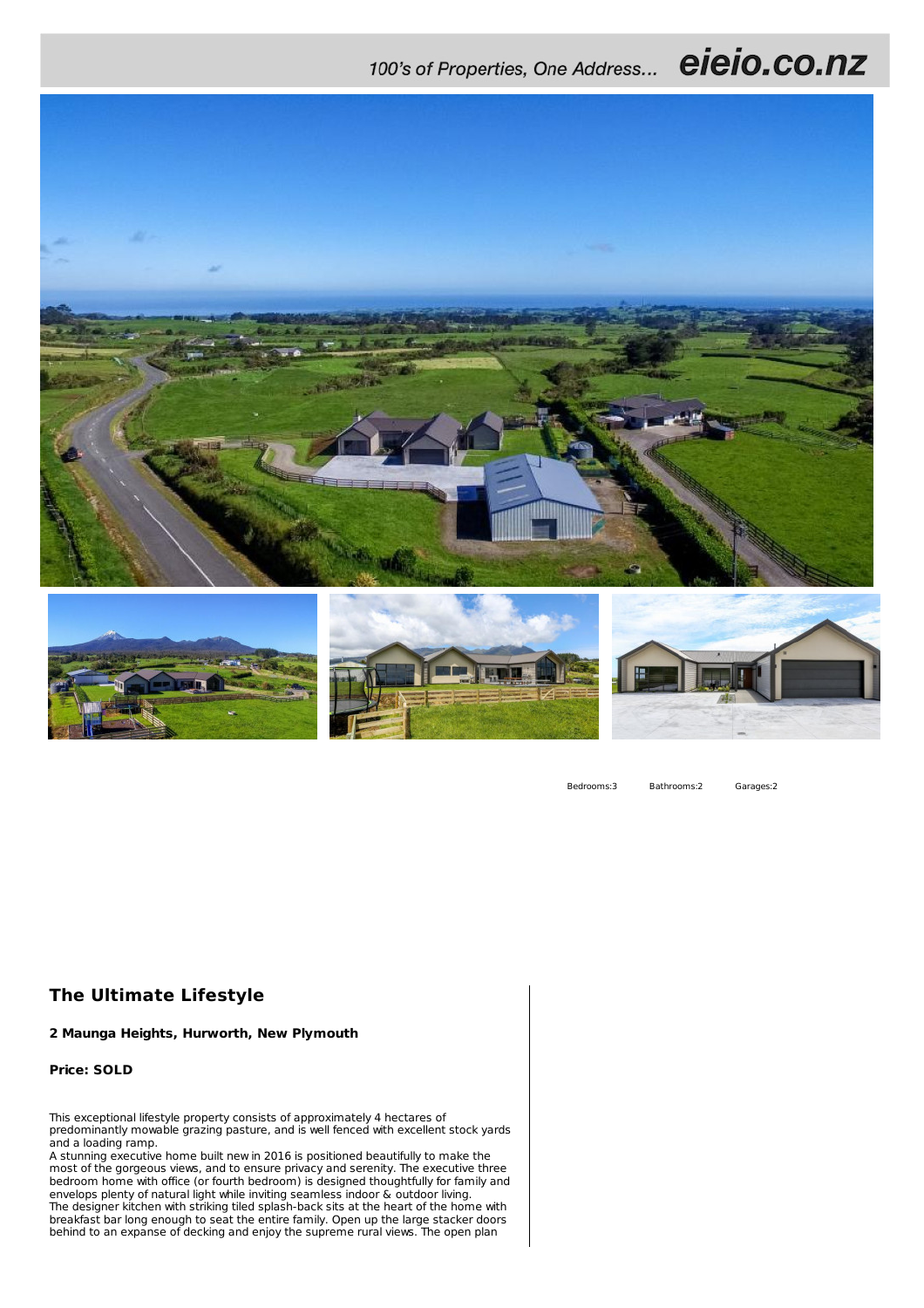## 100's of Properties, One Address... eieio.co.nz



Bedrooms:3 Bathrooms:2 Garages:2

## **The Ultimate Lifestyle**

**2 Maunga Heights, Hurworth, New Plymouth**

**Price: SOLD**

This exceptional lifestyle property consists of approximately 4 hectares of predominantly mowable grazing pasture, and is well fenced with excellent stock yards and a loading ramp.

A stunning executive home built new in 2016 is positioned beautifully to make the most of the gorgeous views, and to ensure privacy and serenity. The executive three bedroom home with office (or fourth bedroom) is designed thoughtfully for family and envelops plenty of natural light while inviting seamless indoor & outdoor living. The designer kitchen with striking tiled splash-back sits at the heart of the home with breakfast bar long enough to seat the entire family. Open up the large stacker doors behind to an expanse of decking and enjoy the supreme rural views. The open plan